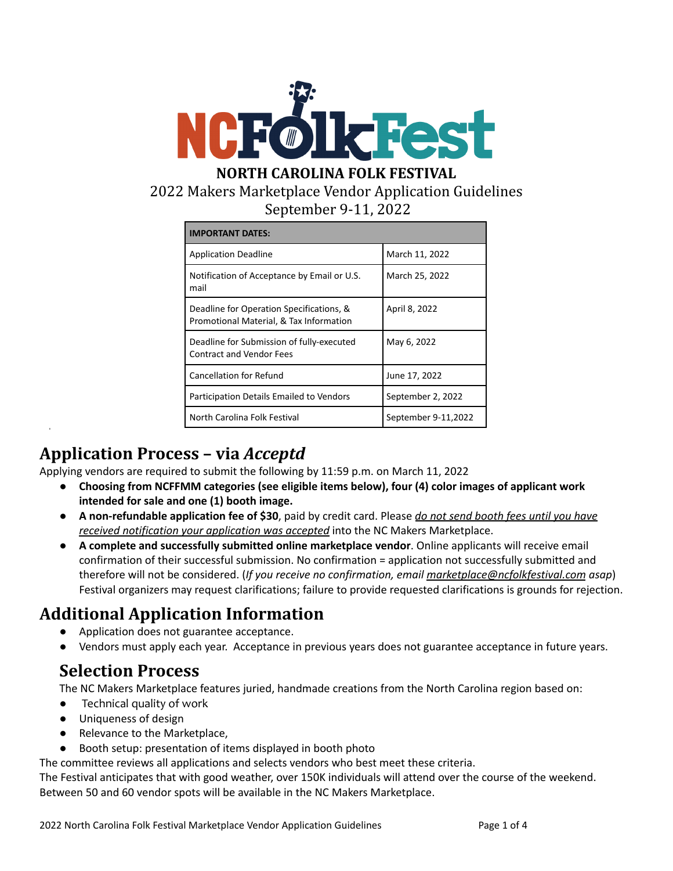

## 2022 Makers Marketplace Vendor Application Guidelines September 9-11, 2022

| <b>IMPORTANT DATES:</b>                                                             |                     |
|-------------------------------------------------------------------------------------|---------------------|
| <b>Application Deadline</b>                                                         | March 11, 2022      |
| Notification of Acceptance by Email or U.S.<br>mail                                 | March 25, 2022      |
| Deadline for Operation Specifications, &<br>Promotional Material, & Tax Information | April 8, 2022       |
| Deadline for Submission of fully-executed<br><b>Contract and Vendor Fees</b>        | May 6, 2022         |
| <b>Cancellation for Refund</b>                                                      | June 17, 2022       |
| Participation Details Emailed to Vendors                                            | September 2, 2022   |
| North Carolina Folk Festival                                                        | September 9-11,2022 |

# **Application Process – via** *Acceptd*

Applying vendors are required to submit the following by 11:59 p.m. on March 11, 2022

- **Choosing from NCFFMM categories (see eligible items below), four (4) color images of applicant work intended for sale and one (1) booth image.**
- **A non-refundable application fee of \$30**, paid by credit card. Please *do not send booth fees until you have received notification your application was accepted* into the NC Makers Marketplace.
- **A complete and successfully submitted online marketplace vendor**. Online applicants will receive email confirmation of their successful submission. No confirmation = application not successfully submitted and therefore will not be considered. (*If you receive no confirmation, email [marketplace@ncfolkfestival.com](mailto:marketplace@ncfolkfestival.com) asap*) Festival organizers may request clarifications; failure to provide requested clarifications is grounds for rejection.

# **Additional Application Information**

- Application does not guarantee acceptance.
- Vendors must apply each year. Acceptance in previous years does not guarantee acceptance in future years.

## **Selection Process**

The NC Makers Marketplace features juried, handmade creations from the North Carolina region based on:

- Technical quality of work
- Uniqueness of design
- Relevance to the Marketplace,
- Booth setup: presentation of items displayed in booth photo

The committee reviews all applications and selects vendors who best meet these criteria.

The Festival anticipates that with good weather, over 150K individuals will attend over the course of the weekend. Between 50 and 60 vendor spots will be available in the NC Makers Marketplace.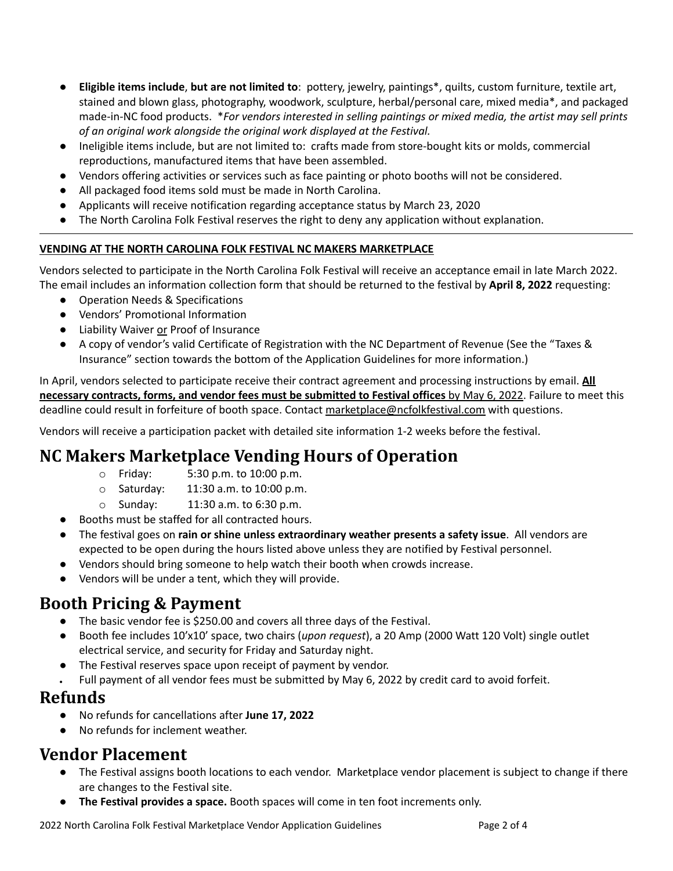- **Eligible items include**, **but are not limited to**: pottery, jewelry, paintings\*, quilts, custom furniture, textile art, stained and blown glass, photography, woodwork, sculpture, herbal/personal care, mixed media\*, and packaged made-in-NC food products. \**For vendors interested in selling paintings or mixed media, the artist may sell prints of an original work alongside the original work displayed at the Festival.*
- Ineligible items include, but are not limited to: crafts made from store-bought kits or molds, commercial reproductions, manufactured items that have been assembled.
- Vendors offering activities or services such as face painting or photo booths will not be considered.
- All packaged food items sold must be made in North Carolina.
- Applicants will receive notification regarding acceptance status by March 23, 2020
- The North Carolina Folk Festival reserves the right to deny any application without explanation.

#### **VENDING AT THE NORTH CAROLINA FOLK FESTIVAL NC MAKERS MARKETPLACE**

Vendors selected to participate in the North Carolina Folk Festival will receive an acceptance email in late March 2022. The email includes an information collection form that should be returned to the festival by **April 8, 2022** requesting:

- Operation Needs & Specifications
- Vendors' Promotional Information
- Liability Waiver or Proof of Insurance
- A copy of vendor's valid Certificate of Registration with the NC Department of Revenue (See the "Taxes & Insurance" section towards the bottom of the Application Guidelines for more information.)

In April, vendors selected to participate receive their contract agreement and processing instructions by email. **All necessary contracts, forms, and vendor fees must be submitted to Festival offices** by May 6, 2022. Failure to meet this deadline could result in forfeiture of booth space. Contact [marketplace@ncfolkfestival.com](mailto:marketplace@ncfolkfestival.com) with questions.

Vendors will receive a participation packet with detailed site information 1-2 weeks before the festival.

# **NC Makers Marketplace Vending Hours of Operation**

- o Friday: 5:30 p.m. to 10:00 p.m.
- o Saturday: 11:30 a.m. to 10:00 p.m.
- o Sunday: 11:30 a.m. to 6:30 p.m.
- Booths must be staffed for all contracted hours.
- The festival goes on **rain or shine unless extraordinary weather presents a safety issue**. All vendors are expected to be open during the hours listed above unless they are notified by Festival personnel.
- Vendors should bring someone to help watch their booth when crowds increase.
- Vendors will be under a tent, which they will provide.

# **Booth Pricing & Payment**

- The basic vendor fee is \$250.00 and covers all three days of the Festival.
- Booth fee includes 10'x10' space, two chairs (*upon request*), a 20 Amp (2000 Watt 120 Volt) single outlet electrical service, and security for Friday and Saturday night.
- The Festival reserves space upon receipt of payment by vendor.
- Full payment of all vendor fees must be submitted by May 6, 2022 by credit card to avoid forfeit.

## **Refunds**

- No refunds for cancellations after **June 17, 2022**
- No refunds for inclement weather.

# **Vendor Placement**

- The Festival assigns booth locations to each vendor. Marketplace vendor placement is subject to change if there are changes to the Festival site.
- **The Festival provides a space.** Booth spaces will come in ten foot increments only.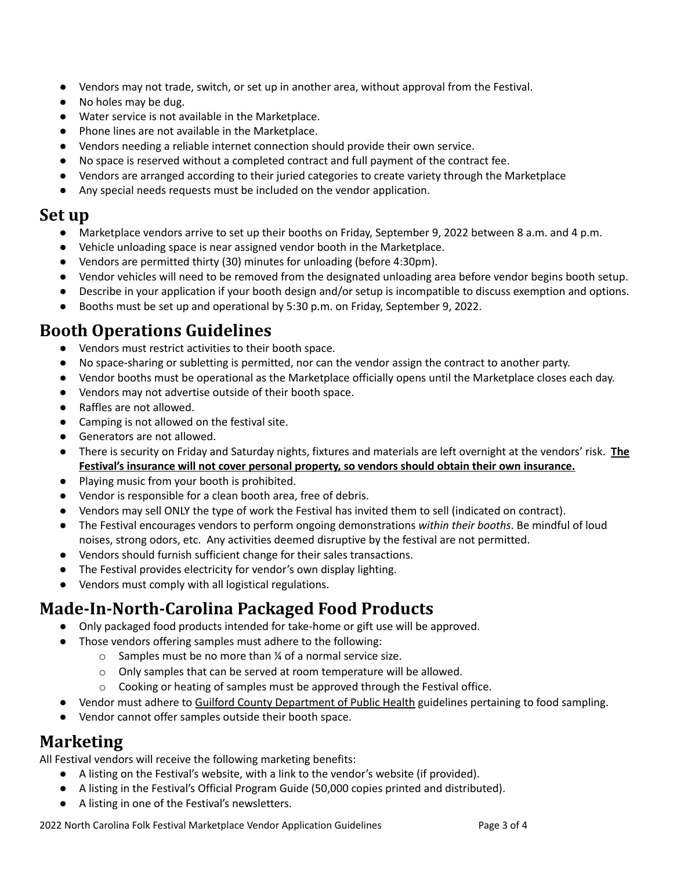- **●** Vendors may not trade, switch, or set up in another area, without approval from the Festival.
- No holes may be dug.
- Water service is not available in the Marketplace.
- Phone lines are not available in the Marketplace.
- Vendors needing a reliable internet connection should provide their own service.
- No space is reserved without a completed contract and full payment of the contract fee.
- Vendors are arranged according to their juried categories to create variety through the Marketplace
- Any special needs requests must be included on the vendor application.

#### **Set up**

- Marketplace vendors arrive to set up their booths on Friday, September 9, 2022 between 8 a.m. and 4 p.m.
- Vehicle unloading space is near assigned vendor booth in the Marketplace.
- Vendors are permitted thirty (30) minutes for unloading (before 4:30pm).
- Vendor vehicles will need to be removed from the designated unloading area before vendor begins booth setup.
- Describe in your application if your booth design and/or setup is incompatible to discuss exemption and options.
- Booths must be set up and operational by 5:30 p.m. on Friday, September 9, 2022.

## **Booth Operations Guidelines**

- Vendors must restrict activities to their booth space.
- No space-sharing or subletting is permitted, nor can the vendor assign the contract to another party.
- Vendor booths must be operational as the Marketplace officially opens until the Marketplace closes each day.
- Vendors may not advertise outside of their booth space.
- Raffles are not allowed.
- Camping is not allowed on the festival site.
- Generators are not allowed.
- There is security on Friday and Saturday nights, fixtures and materials are left overnight at the vendors' risk. **The Festival's insurance will not cover personal property, so vendors should obtain their own insurance.**
- Playing music from your booth is prohibited.
- Vendor is responsible for a clean booth area, free of debris.
- Vendors may sell ONLY the type of work the Festival has invited them to sell (indicated on contract).
- The Festival encourages vendors to perform ongoing demonstrations *within their booths*. Be mindful of loud noises, strong odors, etc. Any activities deemed disruptive by the festival are not permitted.
- Vendors should furnish sufficient change for their sales transactions.
- The Festival provides electricity for vendor's own display lighting.
- Vendors must comply with all logistical regulations.

## **Made-In-North-Carolina Packaged Food Products**

- Only packaged food products intended for take-home or gift use will be approved.
- Those vendors offering samples must adhere to the following:
	- o Samples must be no more than ¼ of a normal service size.
	- o Only samples that can be served at room temperature will be allowed.
	- o Cooking or heating of samples must be approved through the Festival office.
- Vendor must adhere to Guilford County [Department](http://www.myguilford.com/humanservices/health/environmental-health/food-lodging-institutions/) of Public Health guidelines pertaining to food sampling.
- Vendor cannot offer samples outside their booth space.

### **Marketing**

All Festival vendors will receive the following marketing benefits:

- A listing on the Festival's website, with a link to the vendor's website (if provided).
- A listing in the Festival's Official Program Guide (50,000 copies printed and distributed).
- A listing in one of the Festival's newsletters.